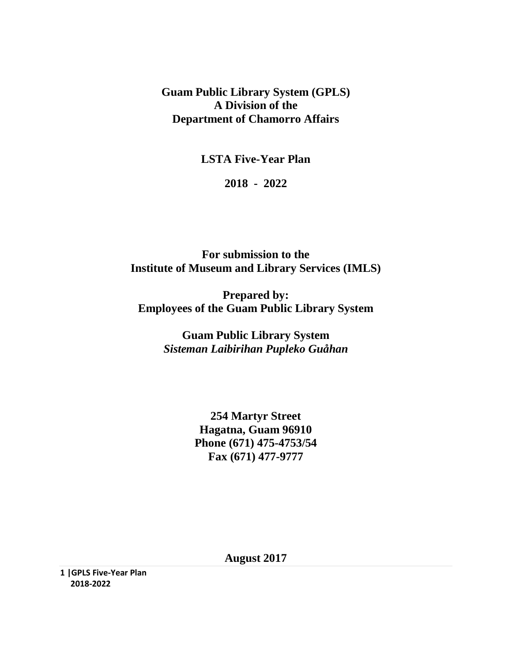**Guam Public Library System (GPLS) A Division of the Department of Chamorro Affairs**

**LSTA Five-Year Plan**

**2018 - 2022**

**For submission to the Institute of Museum and Library Services (IMLS)**

**Prepared by: Employees of the Guam Public Library System**

> **Guam Public Library System** *Sisteman Laibirihan Pupleko Guåhan*

> > **254 Martyr Street Hagatna, Guam 96910 Phone (671) 475-4753/54 Fax (671) 477-9777**

> > > **August 2017**

**1 |GPLS Five-Year Plan 2018-2022**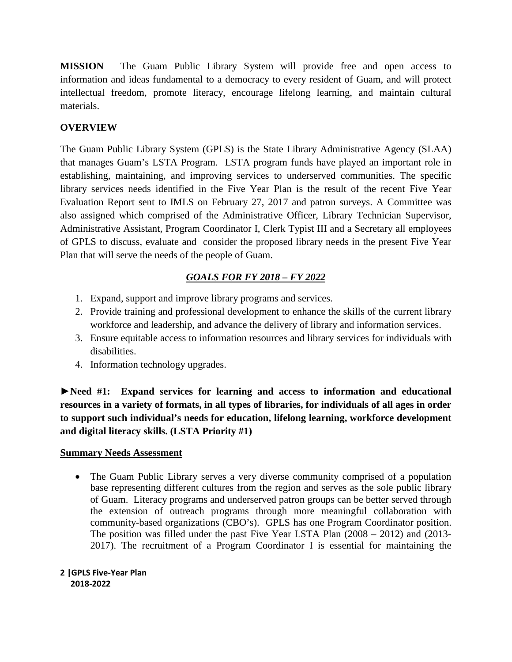**MISSION** The Guam Public Library System will provide free and open access to information and ideas fundamental to a democracy to every resident of Guam, and will protect intellectual freedom, promote literacy, encourage lifelong learning, and maintain cultural materials.

## **OVERVIEW**

The Guam Public Library System (GPLS) is the State Library Administrative Agency (SLAA) that manages Guam's LSTA Program. LSTA program funds have played an important role in establishing, maintaining, and improving services to underserved communities. The specific library services needs identified in the Five Year Plan is the result of the recent Five Year Evaluation Report sent to IMLS on February 27, 2017 and patron surveys. A Committee was also assigned which comprised of the Administrative Officer, Library Technician Supervisor, Administrative Assistant, Program Coordinator I, Clerk Typist III and a Secretary all employees of GPLS to discuss, evaluate and consider the proposed library needs in the present Five Year Plan that will serve the needs of the people of Guam.

# *GOALS FOR FY 2018 – FY 2022*

- 1. Expand, support and improve library programs and services.
- 2. Provide training and professional development to enhance the skills of the current library workforce and leadership, and advance the delivery of library and information services.
- 3. Ensure equitable access to information resources and library services for individuals with disabilities.
- 4. Information technology upgrades.

**►Need #1: Expand services for learning and access to information and educational resources in a variety of formats, in all types of libraries, for individuals of all ages in order to support such individual's needs for education, lifelong learning, workforce development and digital literacy skills. (LSTA Priority #1)**

## **Summary Needs Assessment**

• The Guam Public Library serves a very diverse community comprised of a population base representing different cultures from the region and serves as the sole public library of Guam. Literacy programs and underserved patron groups can be better served through the extension of outreach programs through more meaningful collaboration with community-based organizations (CBO's). GPLS has one Program Coordinator position. The position was filled under the past Five Year LSTA Plan (2008 – 2012) and (2013- 2017). The recruitment of a Program Coordinator I is essential for maintaining the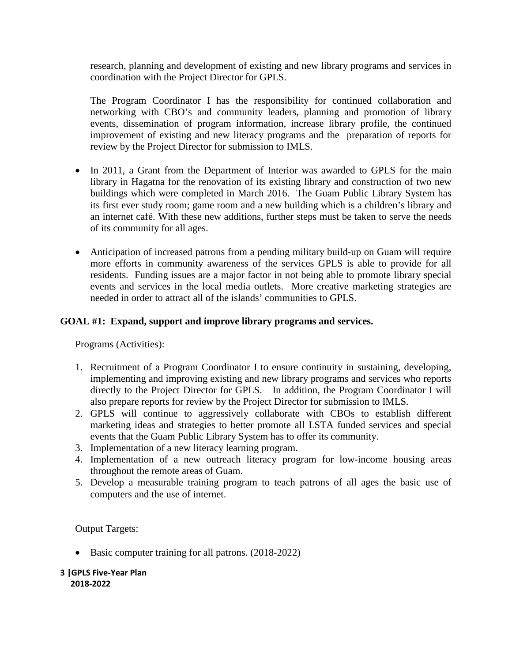research, planning and development of existing and new library programs and services in coordination with the Project Director for GPLS.

The Program Coordinator I has the responsibility for continued collaboration and networking with CBO's and community leaders, planning and promotion of library events, dissemination of program information, increase library profile, the continued improvement of existing and new literacy programs and the preparation of reports for review by the Project Director for submission to IMLS.

- In 2011, a Grant from the Department of Interior was awarded to GPLS for the main library in Hagatna for the renovation of its existing library and construction of two new buildings which were completed in March 2016. The Guam Public Library System has its first ever study room; game room and a new building which is a children's library and an internet café. With these new additions, further steps must be taken to serve the needs of its community for all ages.
- Anticipation of increased patrons from a pending military build-up on Guam will require more efforts in community awareness of the services GPLS is able to provide for all residents. Funding issues are a major factor in not being able to promote library special events and services in the local media outlets. More creative marketing strategies are needed in order to attract all of the islands' communities to GPLS.

### **GOAL #1: Expand, support and improve library programs and services.**

Programs (Activities):

- 1. Recruitment of a Program Coordinator I to ensure continuity in sustaining, developing, implementing and improving existing and new library programs and services who reports directly to the Project Director for GPLS. In addition, the Program Coordinator I will also prepare reports for review by the Project Director for submission to IMLS.
- 2. GPLS will continue to aggressively collaborate with CBOs to establish different marketing ideas and strategies to better promote all LSTA funded services and special events that the Guam Public Library System has to offer its community.
- 3. Implementation of a new literacy learning program.
- 4. Implementation of a new outreach literacy program for low-income housing areas throughout the remote areas of Guam.
- 5. Develop a measurable training program to teach patrons of all ages the basic use of computers and the use of internet.

Output Targets:

• Basic computer training for all patrons. (2018-2022)

**3 |GPLS Five-Year Plan 2018-2022**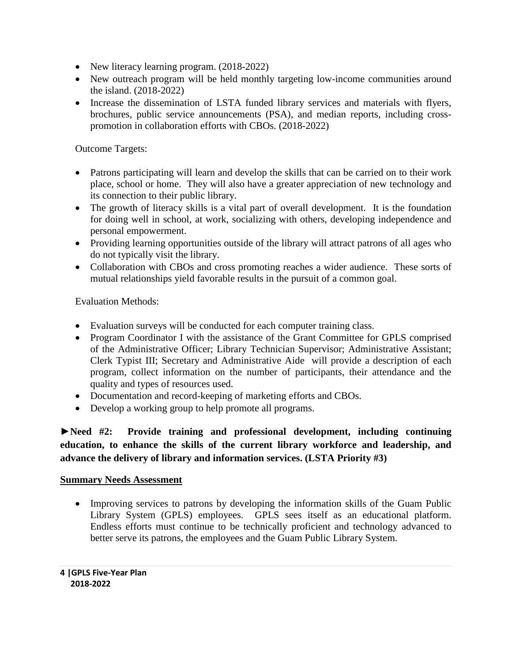- New literacy learning program. (2018-2022)
- New outreach program will be held monthly targeting low-income communities around the island. (2018-2022)
- Increase the dissemination of LSTA funded library services and materials with flyers, brochures, public service announcements (PSA), and median reports, including crosspromotion in collaboration efforts with CBOs. (2018-2022)

Outcome Targets:

- Patrons participating will learn and develop the skills that can be carried on to their work place, school or home. They will also have a greater appreciation of new technology and its connection to their public library.
- The growth of literacy skills is a vital part of overall development. It is the foundation for doing well in school, at work, socializing with others, developing independence and personal empowerment.
- Providing learning opportunities outside of the library will attract patrons of all ages who do not typically visit the library.
- Collaboration with CBOs and cross promoting reaches a wider audience. These sorts of mutual relationships yield favorable results in the pursuit of a common goal.

Evaluation Methods:

- Evaluation surveys will be conducted for each computer training class.
- Program Coordinator I with the assistance of the Grant Committee for GPLS comprised of the Administrative Officer; Library Technician Supervisor; Administrative Assistant; Clerk Typist III; Secretary and Administrative Aide will provide a description of each program, collect information on the number of participants, their attendance and the quality and types of resources used.
- Documentation and record-keeping of marketing efforts and CBOs.
- Develop a working group to help promote all programs.

**►Need #2: Provide training and professional development, including continuing education, to enhance the skills of the current library workforce and leadership, and advance the delivery of library and information services. (LSTA Priority #3)**

#### **Summary Needs Assessment**

• Improving services to patrons by developing the information skills of the Guam Public Library System (GPLS) employees. GPLS sees itself as an educational platform. Endless efforts must continue to be technically proficient and technology advanced to better serve its patrons, the employees and the Guam Public Library System.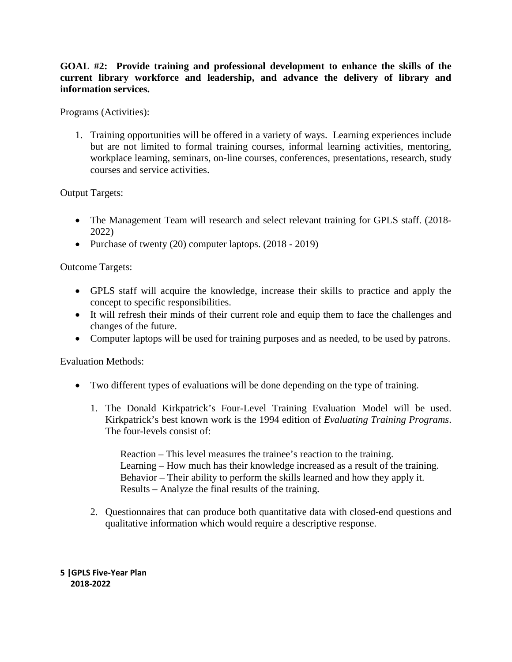#### **GOAL #2: Provide training and professional development to enhance the skills of the current library workforce and leadership, and advance the delivery of library and information services.**

Programs (Activities):

1. Training opportunities will be offered in a variety of ways. Learning experiences include but are not limited to formal training courses, informal learning activities, mentoring, workplace learning, seminars, on-line courses, conferences, presentations, research, study courses and service activities.

Output Targets:

- The Management Team will research and select relevant training for GPLS staff. (2018-2022)
- Purchase of twenty (20) computer laptops. (2018 2019)

Outcome Targets:

- GPLS staff will acquire the knowledge, increase their skills to practice and apply the concept to specific responsibilities.
- It will refresh their minds of their current role and equip them to face the challenges and changes of the future.
- Computer laptops will be used for training purposes and as needed, to be used by patrons.

Evaluation Methods:

- Two different types of evaluations will be done depending on the type of training.
	- 1. The Donald Kirkpatrick's Four-Level Training Evaluation Model will be used. Kirkpatrick's best known work is the 1994 edition of *Evaluating Training Programs*. The four-levels consist of:

Reaction – This level measures the trainee's reaction to the training. Learning – How much has their knowledge increased as a result of the training. Behavior – Their ability to perform the skills learned and how they apply it. Results – Analyze the final results of the training.

2. Questionnaires that can produce both quantitative data with closed-end questions and qualitative information which would require a descriptive response.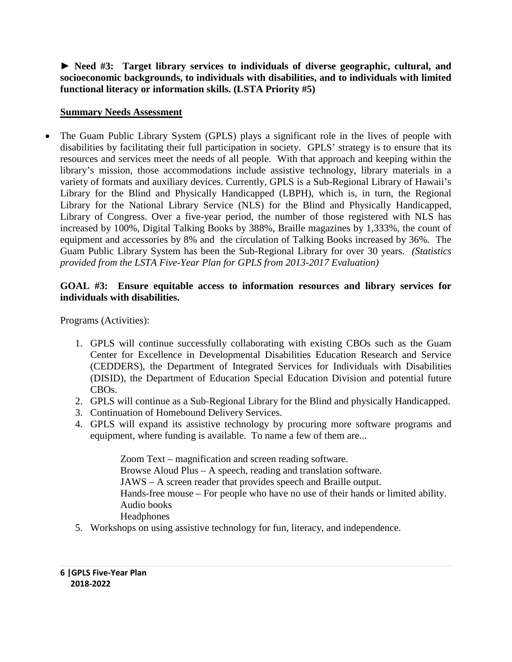**► Need #3: Target library services to individuals of diverse geographic, cultural, and socioeconomic backgrounds, to individuals with disabilities, and to individuals with limited functional literacy or information skills. (LSTA Priority #5)**

#### **Summary Needs Assessment**

• The Guam Public Library System (GPLS) plays a significant role in the lives of people with disabilities by facilitating their full participation in society. GPLS' strategy is to ensure that its resources and services meet the needs of all people. With that approach and keeping within the library's mission, those accommodations include assistive technology, library materials in a variety of formats and auxiliary devices. Currently, GPLS is a Sub-Regional Library of Hawaii's Library for the Blind and Physically Handicapped (LBPH), which is, in turn, the Regional Library for the National Library Service (NLS) for the Blind and Physically Handicapped, Library of Congress. Over a five-year period, the number of those registered with NLS has increased by 100%, Digital Talking Books by 388%, Braille magazines by 1,333%, the count of equipment and accessories by 8% and the circulation of Talking Books increased by 36%. The Guam Public Library System has been the Sub-Regional Library for over 30 years. *(Statistics provided from the LSTA Five-Year Plan for GPLS from 2013-2017 Evaluation)*

#### **GOAL #3: Ensure equitable access to information resources and library services for individuals with disabilities.**

Programs (Activities):

- 1. GPLS will continue successfully collaborating with existing CBOs such as the Guam Center for Excellence in Developmental Disabilities Education Research and Service (CEDDERS), the Department of Integrated Services for Individuals with Disabilities (DISID), the Department of Education Special Education Division and potential future CBOs.
- 2. GPLS will continue as a Sub-Regional Library for the Blind and physically Handicapped.
- 3. Continuation of Homebound Delivery Services.
- 4. GPLS will expand its assistive technology by procuring more software programs and equipment, where funding is available. To name a few of them are...

Zoom Text – magnification and screen reading software. Browse Aloud Plus – A speech, reading and translation software. JAWS – A screen reader that provides speech and Braille output. Hands-free mouse – For people who have no use of their hands or limited ability. Audio books **Headphones** 

5. Workshops on using assistive technology for fun, literacy, and independence.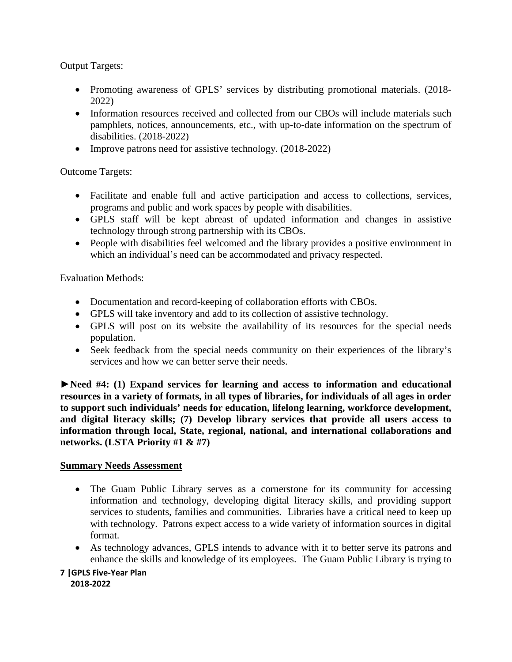Output Targets:

- Promoting awareness of GPLS' services by distributing promotional materials. (2018- 2022)
- Information resources received and collected from our CBOs will include materials such pamphlets, notices, announcements, etc., with up-to-date information on the spectrum of disabilities. (2018-2022)
- Improve patrons need for assistive technology. (2018-2022)

Outcome Targets:

- Facilitate and enable full and active participation and access to collections, services, programs and public and work spaces by people with disabilities.
- GPLS staff will be kept abreast of updated information and changes in assistive technology through strong partnership with its CBOs.
- People with disabilities feel welcomed and the library provides a positive environment in which an individual's need can be accommodated and privacy respected.

Evaluation Methods:

- Documentation and record-keeping of collaboration efforts with CBOs.
- GPLS will take inventory and add to its collection of assistive technology.
- GPLS will post on its website the availability of its resources for the special needs population.
- Seek feedback from the special needs community on their experiences of the library's services and how we can better serve their needs.

►**Need #4: (1) Expand services for learning and access to information and educational resources in a variety of formats, in all types of libraries, for individuals of all ages in order to support such individuals' needs for education, lifelong learning, workforce development, and digital literacy skills; (7) Develop library services that provide all users access to information through local, State, regional, national, and international collaborations and networks. (LSTA Priority #1 & #7)**

#### **Summary Needs Assessment**

- The Guam Public Library serves as a cornerstone for its community for accessing information and technology, developing digital literacy skills, and providing support services to students, families and communities. Libraries have a critical need to keep up with technology. Patrons expect access to a wide variety of information sources in digital format.
- As technology advances, GPLS intends to advance with it to better serve its patrons and enhance the skills and knowledge of its employees. The Guam Public Library is trying to

**7 |GPLS Five-Year Plan 2018-2022**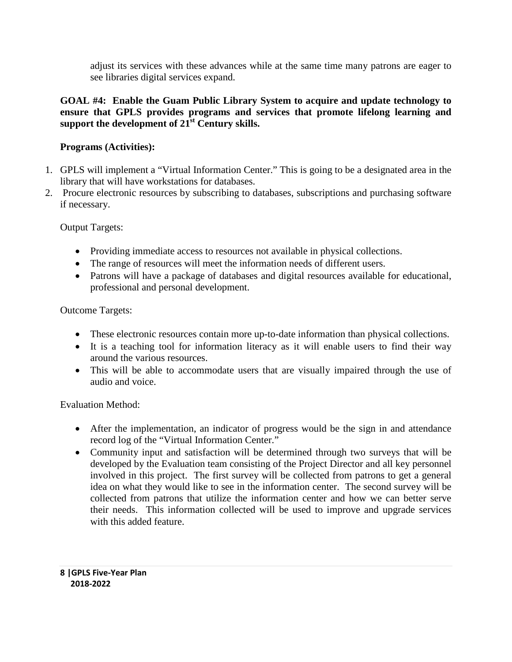adjust its services with these advances while at the same time many patrons are eager to see libraries digital services expand.

## **GOAL #4: Enable the Guam Public Library System to acquire and update technology to ensure that GPLS provides programs and services that promote lifelong learning and support the development of 21st Century skills.**

## **Programs (Activities):**

- 1. GPLS will implement a "Virtual Information Center." This is going to be a designated area in the library that will have workstations for databases.
- 2. Procure electronic resources by subscribing to databases, subscriptions and purchasing software if necessary.

Output Targets:

- Providing immediate access to resources not available in physical collections.
- The range of resources will meet the information needs of different users.
- Patrons will have a package of databases and digital resources available for educational, professional and personal development.

Outcome Targets:

- These electronic resources contain more up-to-date information than physical collections.
- It is a teaching tool for information literacy as it will enable users to find their way around the various resources.
- This will be able to accommodate users that are visually impaired through the use of audio and voice.

Evaluation Method:

- After the implementation, an indicator of progress would be the sign in and attendance record log of the "Virtual Information Center."
- Community input and satisfaction will be determined through two surveys that will be developed by the Evaluation team consisting of the Project Director and all key personnel involved in this project. The first survey will be collected from patrons to get a general idea on what they would like to see in the information center. The second survey will be collected from patrons that utilize the information center and how we can better serve their needs. This information collected will be used to improve and upgrade services with this added feature.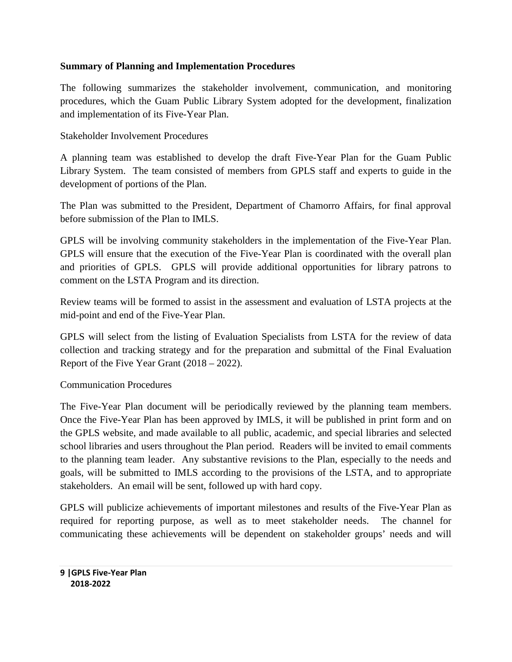#### **Summary of Planning and Implementation Procedures**

The following summarizes the stakeholder involvement, communication, and monitoring procedures, which the Guam Public Library System adopted for the development, finalization and implementation of its Five-Year Plan.

Stakeholder Involvement Procedures

A planning team was established to develop the draft Five-Year Plan for the Guam Public Library System. The team consisted of members from GPLS staff and experts to guide in the development of portions of the Plan.

The Plan was submitted to the President, Department of Chamorro Affairs, for final approval before submission of the Plan to IMLS.

GPLS will be involving community stakeholders in the implementation of the Five-Year Plan. GPLS will ensure that the execution of the Five-Year Plan is coordinated with the overall plan and priorities of GPLS. GPLS will provide additional opportunities for library patrons to comment on the LSTA Program and its direction.

Review teams will be formed to assist in the assessment and evaluation of LSTA projects at the mid-point and end of the Five-Year Plan.

GPLS will select from the listing of Evaluation Specialists from LSTA for the review of data collection and tracking strategy and for the preparation and submittal of the Final Evaluation Report of the Five Year Grant (2018 – 2022).

Communication Procedures

The Five-Year Plan document will be periodically reviewed by the planning team members. Once the Five-Year Plan has been approved by IMLS, it will be published in print form and on the GPLS website, and made available to all public, academic, and special libraries and selected school libraries and users throughout the Plan period. Readers will be invited to email comments to the planning team leader. Any substantive revisions to the Plan, especially to the needs and goals, will be submitted to IMLS according to the provisions of the LSTA, and to appropriate stakeholders. An email will be sent, followed up with hard copy.

GPLS will publicize achievements of important milestones and results of the Five-Year Plan as required for reporting purpose, as well as to meet stakeholder needs. The channel for communicating these achievements will be dependent on stakeholder groups' needs and will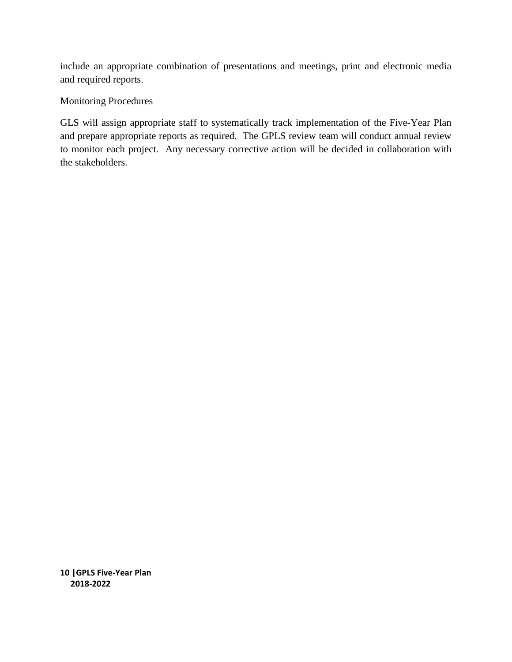include an appropriate combination of presentations and meetings, print and electronic media and required reports.

## Monitoring Procedures

GLS will assign appropriate staff to systematically track implementation of the Five-Year Plan and prepare appropriate reports as required. The GPLS review team will conduct annual review to monitor each project. Any necessary corrective action will be decided in collaboration with the stakeholders.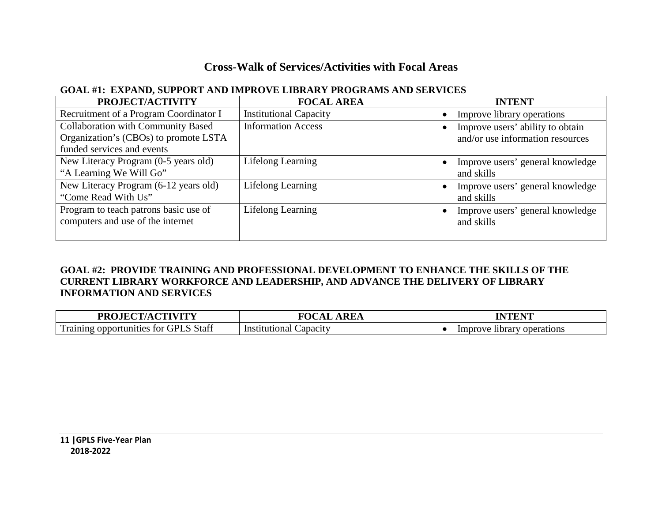# **Cross-Walk of Services/Activities with Focal Areas**

## **GOAL #1: EXPAND, SUPPORT AND IMPROVE LIBRARY PROGRAMS AND SERVICES**

| PROJECT/ACTIVITY                          | <b>FOCAL AREA</b>             | <b>INTENT</b>                    |
|-------------------------------------------|-------------------------------|----------------------------------|
| Recruitment of a Program Coordinator I    | <b>Institutional Capacity</b> | Improve library operations       |
| <b>Collaboration with Community Based</b> | <b>Information Access</b>     | Improve users' ability to obtain |
| Organization's (CBOs) to promote LSTA     |                               | and/or use information resources |
| funded services and events                |                               |                                  |
| New Literacy Program (0-5 years old)      | Lifelong Learning             | Improve users' general knowledge |
| "A Learning We Will Go"                   |                               | and skills                       |
| New Literacy Program (6-12 years old)     | Lifelong Learning             | Improve users' general knowledge |
| "Come Read With Us"                       |                               | and skills                       |
| Program to teach patrons basic use of     | Lifelong Learning             | Improve users' general knowledge |
| computers and use of the internet         |                               | and skills                       |
|                                           |                               |                                  |

## **GOAL #2: PROVIDE TRAINING AND PROFESSIONAL DEVELOPMENT TO ENHANCE THE SKILLS OF THE CURRENT LIBRARY WORKFORCE AND LEADERSHIP, AND ADVANCE THE DELIVERY OF LIBRARY INFORMATION AND SERVICES**

| LIE CT/A CTIVITV<br>DD <sub>O</sub>                                  | DE 4<br>\KEA<br>,,,,               | <b>TAILER IT</b>                  |
|----------------------------------------------------------------------|------------------------------------|-----------------------------------|
| $\mathbf{r}$<br>Staff<br>GPI<br>tor<br>1 rainin<br>unities<br>opport | Capacity<br>. <del>.</del><br>Inst | Improve<br>operations<br>-library |